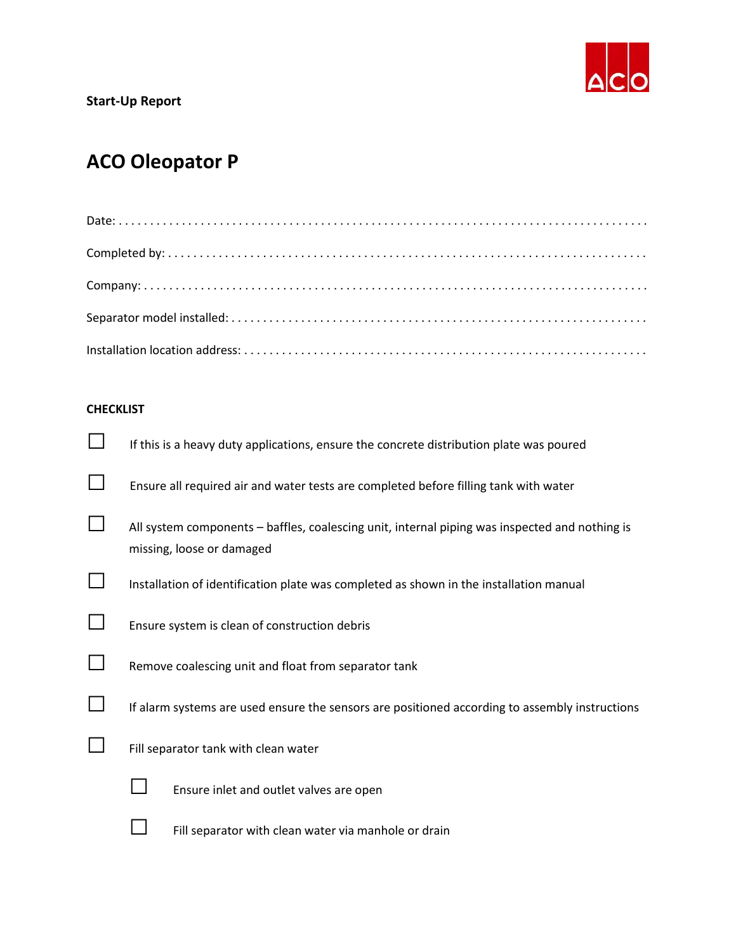

## **ACO Oleopator P**

## **CHECKLIST**

|        | If this is a heavy duty applications, ensure the concrete distribution plate was poured                                     |
|--------|-----------------------------------------------------------------------------------------------------------------------------|
|        | Ensure all required air and water tests are completed before filling tank with water                                        |
|        | All system components - baffles, coalescing unit, internal piping was inspected and nothing is<br>missing, loose or damaged |
|        | Installation of identification plate was completed as shown in the installation manual                                      |
| $\Box$ | Ensure system is clean of construction debris                                                                               |
|        | Remove coalescing unit and float from separator tank                                                                        |
|        | If alarm systems are used ensure the sensors are positioned according to assembly instructions                              |
|        | Fill separator tank with clean water                                                                                        |
|        | Ensure inlet and outlet valves are open                                                                                     |
|        | Fill separator with clean water via manhole or drain                                                                        |